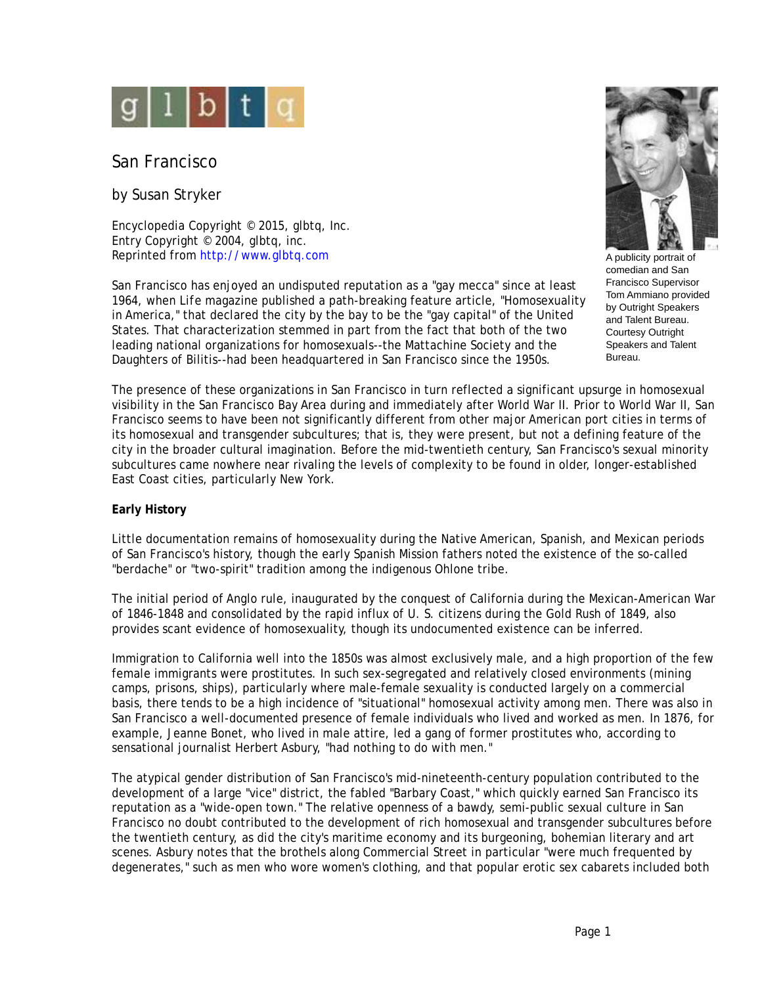

San Francisco

by Susan Stryker

Encyclopedia Copyright © 2015, glbtq, Inc. Entry Copyright © 2004, glbtq, inc. Reprinted from<http://www.glbtq.com>

San Francisco has enjoyed an undisputed reputation as a "gay mecca" since at least 1964, when *Life* magazine published a path-breaking feature article, "Homosexuality in America," that declared the city by the bay to be the "gay capital" of the United States. That characterization stemmed in part from the fact that both of the two leading national organizations for homosexuals--the Mattachine Society and the Daughters of Bilitis--had been headquartered in San Francisco since the 1950s.



A publicity portrait of comedian and San Francisco Supervisor Tom Ammiano provided by Outright Speakers and Talent Bureau. Courtesy Outright Speakers and Talent Bureau.

The presence of these organizations in San Francisco in turn reflected a significant upsurge in homosexual visibility in the San Francisco Bay Area during and immediately after World War II. Prior to World War II, San Francisco seems to have been not significantly different from other major American port cities in terms of its homosexual and transgender subcultures; that is, they were present, but not a defining feature of the city in the broader cultural imagination. Before the mid-twentieth century, San Francisco's sexual minority subcultures came nowhere near rivaling the levels of complexity to be found in older, longer-established East Coast cities, particularly New York.

# **Early History**

Little documentation remains of homosexuality during the Native American, Spanish, and Mexican periods of San Francisco's history, though the early Spanish Mission fathers noted the existence of the so-called "berdache" or "two-spirit" tradition among the indigenous Ohlone tribe.

The initial period of Anglo rule, inaugurated by the conquest of California during the Mexican-American War of 1846-1848 and consolidated by the rapid influx of U. S. citizens during the Gold Rush of 1849, also provides scant evidence of homosexuality, though its undocumented existence can be inferred.

Immigration to California well into the 1850s was almost exclusively male, and a high proportion of the few female immigrants were prostitutes. In such sex-segregated and relatively closed environments (mining camps, prisons, ships), particularly where male-female sexuality is conducted largely on a commercial basis, there tends to be a high incidence of "situational" homosexual activity among men. There was also in San Francisco a well-documented presence of female individuals who lived and worked as men. In 1876, for example, Jeanne Bonet, who lived in male attire, led a gang of former prostitutes who, according to sensational journalist Herbert Asbury, "had nothing to do with men."

The atypical gender distribution of San Francisco's mid-nineteenth-century population contributed to the development of a large "vice" district, the fabled "Barbary Coast," which quickly earned San Francisco its reputation as a "wide-open town." The relative openness of a bawdy, semi-public sexual culture in San Francisco no doubt contributed to the development of rich homosexual and transgender subcultures before the twentieth century, as did the city's maritime economy and its burgeoning, bohemian literary and art scenes. Asbury notes that the brothels along Commercial Street in particular "were much frequented by degenerates," such as men who wore women's clothing, and that popular erotic sex cabarets included both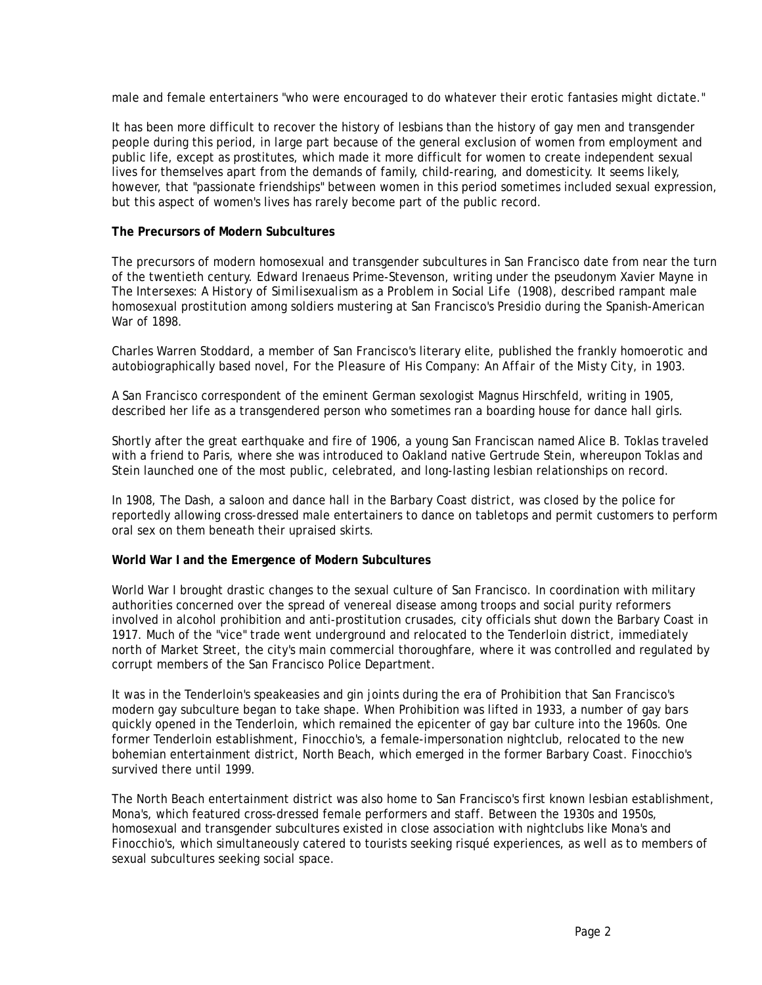male and female entertainers "who were encouraged to do whatever their erotic fantasies might dictate."

It has been more difficult to recover the history of lesbians than the history of gay men and transgender people during this period, in large part because of the general exclusion of women from employment and public life, except as prostitutes, which made it more difficult for women to create independent sexual lives for themselves apart from the demands of family, child-rearing, and domesticity. It seems likely, however, that "passionate friendships" between women in this period sometimes included sexual expression, but this aspect of women's lives has rarely become part of the public record.

### **The Precursors of Modern Subcultures**

The precursors of modern homosexual and transgender subcultures in San Francisco date from near the turn of the twentieth century. Edward Irenaeus Prime-Stevenson, writing under the pseudonym Xavier Mayne in *The Intersexes: A History of Similisexualism as a Problem in Social Life* (1908), described rampant male homosexual prostitution among soldiers mustering at San Francisco's Presidio during the Spanish-American War of 1898.

Charles Warren Stoddard, a member of San Francisco's literary elite, published the frankly homoerotic and autobiographically based novel, *For the Pleasure of His Company: An Affair of the Misty City*, in 1903.

A San Francisco correspondent of the eminent German sexologist Magnus Hirschfeld, writing in 1905, described her life as a transgendered person who sometimes ran a boarding house for dance hall girls.

Shortly after the great earthquake and fire of 1906, a young San Franciscan named Alice B. Toklas traveled with a friend to Paris, where she was introduced to Oakland native Gertrude Stein, whereupon Toklas and Stein launched one of the most public, celebrated, and long-lasting lesbian relationships on record.

In 1908, The Dash, a saloon and dance hall in the Barbary Coast district, was closed by the police for reportedly allowing cross-dressed male entertainers to dance on tabletops and permit customers to perform oral sex on them beneath their upraised skirts.

# **World War I and the Emergence of Modern Subcultures**

World War I brought drastic changes to the sexual culture of San Francisco. In coordination with military authorities concerned over the spread of venereal disease among troops and social purity reformers involved in alcohol prohibition and anti-prostitution crusades, city officials shut down the Barbary Coast in 1917. Much of the "vice" trade went underground and relocated to the Tenderloin district, immediately north of Market Street, the city's main commercial thoroughfare, where it was controlled and regulated by corrupt members of the San Francisco Police Department.

It was in the Tenderloin's speakeasies and gin joints during the era of Prohibition that San Francisco's modern gay subculture began to take shape. When Prohibition was lifted in 1933, a number of gay bars quickly opened in the Tenderloin, which remained the epicenter of gay bar culture into the 1960s. One former Tenderloin establishment, Finocchio's, a female-impersonation nightclub, relocated to the new bohemian entertainment district, North Beach, which emerged in the former Barbary Coast. Finocchio's survived there until 1999.

The North Beach entertainment district was also home to San Francisco's first known lesbian establishment, Mona's, which featured cross-dressed female performers and staff. Between the 1930s and 1950s, homosexual and transgender subcultures existed in close association with nightclubs like Mona's and Finocchio's, which simultaneously catered to tourists seeking risqué experiences, as well as to members of sexual subcultures seeking social space.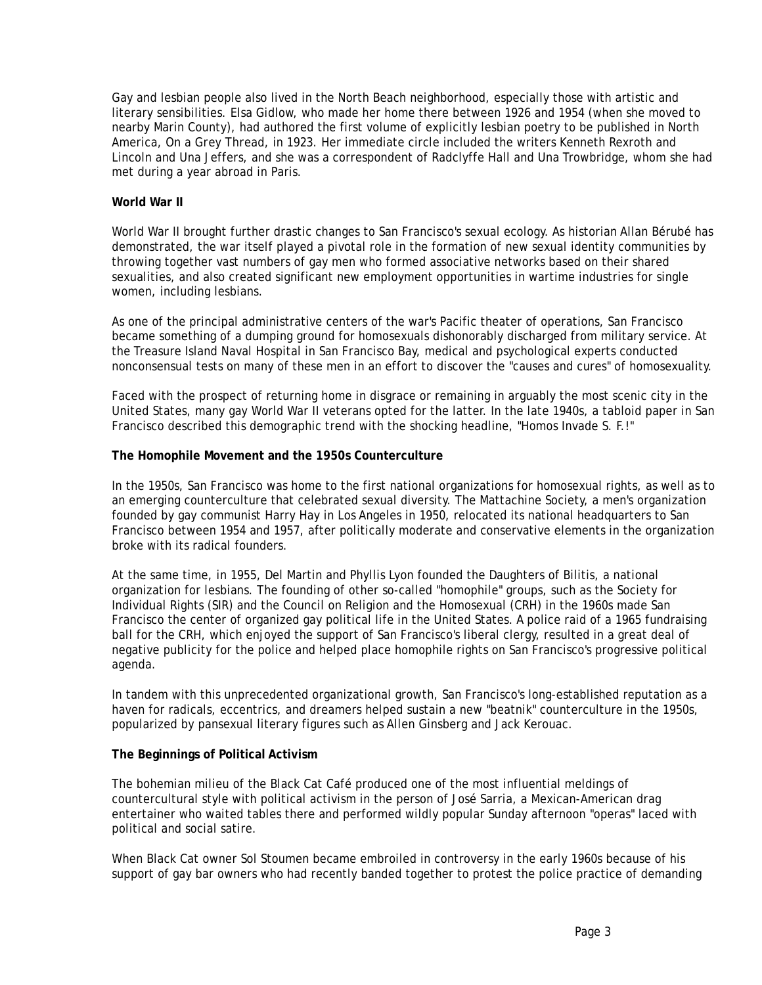Gay and lesbian people also lived in the North Beach neighborhood, especially those with artistic and literary sensibilities. Elsa Gidlow, who made her home there between 1926 and 1954 (when she moved to nearby Marin County), had authored the first volume of explicitly lesbian poetry to be published in North America, *On a Grey Thread*, in 1923. Her immediate circle included the writers Kenneth Rexroth and Lincoln and Una Jeffers, and she was a correspondent of Radclyffe Hall and Una Trowbridge, whom she had met during a year abroad in Paris.

# **World War II**

World War II brought further drastic changes to San Francisco's sexual ecology. As historian Allan Bérubé has demonstrated, the war itself played a pivotal role in the formation of new sexual identity communities by throwing together vast numbers of gay men who formed associative networks based on their shared sexualities, and also created significant new employment opportunities in wartime industries for single women, including lesbians.

As one of the principal administrative centers of the war's Pacific theater of operations, San Francisco became something of a dumping ground for homosexuals dishonorably discharged from military service. At the Treasure Island Naval Hospital in San Francisco Bay, medical and psychological experts conducted nonconsensual tests on many of these men in an effort to discover the "causes and cures" of homosexuality.

Faced with the prospect of returning home in disgrace or remaining in arguably the most scenic city in the United States, many gay World War II veterans opted for the latter. In the late 1940s, a tabloid paper in San Francisco described this demographic trend with the shocking headline, "Homos Invade S. F.!"

### **The Homophile Movement and the 1950s Counterculture**

In the 1950s, San Francisco was home to the first national organizations for homosexual rights, as well as to an emerging counterculture that celebrated sexual diversity. The Mattachine Society, a men's organization founded by gay communist Harry Hay in Los Angeles in 1950, relocated its national headquarters to San Francisco between 1954 and 1957, after politically moderate and conservative elements in the organization broke with its radical founders.

At the same time, in 1955, Del Martin and Phyllis Lyon founded the Daughters of Bilitis, a national organization for lesbians. The founding of other so-called "homophile" groups, such as the Society for Individual Rights (SIR) and the Council on Religion and the Homosexual (CRH) in the 1960s made San Francisco the center of organized gay political life in the United States. A police raid of a 1965 fundraising ball for the CRH, which enjoyed the support of San Francisco's liberal clergy, resulted in a great deal of negative publicity for the police and helped place homophile rights on San Francisco's progressive political agenda.

In tandem with this unprecedented organizational growth, San Francisco's long-established reputation as a haven for radicals, eccentrics, and dreamers helped sustain a new "beatnik" counterculture in the 1950s, popularized by pansexual literary figures such as Allen Ginsberg and Jack Kerouac.

#### **The Beginnings of Political Activism**

The bohemian milieu of the Black Cat Café produced one of the most influential meldings of countercultural style with political activism in the person of José Sarria, a Mexican-American drag entertainer who waited tables there and performed wildly popular Sunday afternoon "operas" laced with political and social satire.

When Black Cat owner Sol Stoumen became embroiled in controversy in the early 1960s because of his support of gay bar owners who had recently banded together to protest the police practice of demanding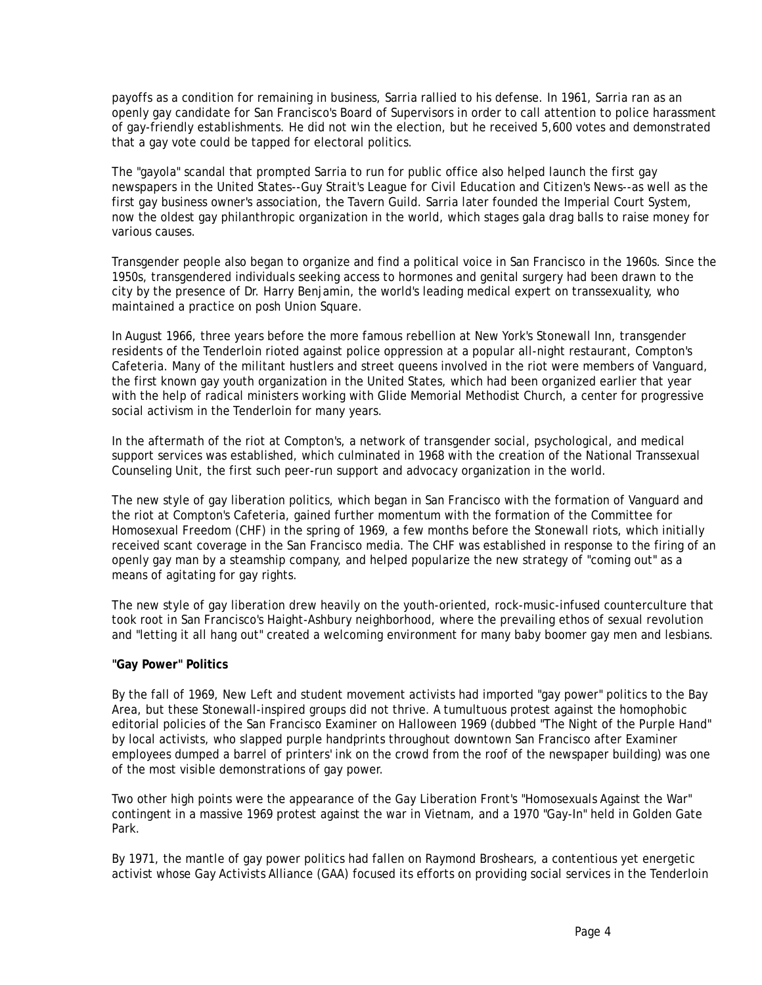payoffs as a condition for remaining in business, Sarria rallied to his defense. In 1961, Sarria ran as an openly gay candidate for San Francisco's Board of Supervisors in order to call attention to police harassment of gay-friendly establishments. He did not win the election, but he received 5,600 votes and demonstrated that a gay vote could be tapped for electoral politics.

The "gayola" scandal that prompted Sarria to run for public office also helped launch the first gay newspapers in the United States--Guy Strait's *League for Civil Education* and *Citizen's News*--as well as the first gay business owner's association, the Tavern Guild. Sarria later founded the Imperial Court System, now the oldest gay philanthropic organization in the world, which stages gala drag balls to raise money for various causes.

Transgender people also began to organize and find a political voice in San Francisco in the 1960s. Since the 1950s, transgendered individuals seeking access to hormones and genital surgery had been drawn to the city by the presence of Dr. Harry Benjamin, the world's leading medical expert on transsexuality, who maintained a practice on posh Union Square.

In August 1966, three years before the more famous rebellion at New York's Stonewall Inn, transgender residents of the Tenderloin rioted against police oppression at a popular all-night restaurant, Compton's Cafeteria. Many of the militant hustlers and street queens involved in the riot were members of Vanguard, the first known gay youth organization in the United States, which had been organized earlier that year with the help of radical ministers working with Glide Memorial Methodist Church, a center for progressive social activism in the Tenderloin for many years.

In the aftermath of the riot at Compton's, a network of transgender social, psychological, and medical support services was established, which culminated in 1968 with the creation of the National Transsexual Counseling Unit, the first such peer-run support and advocacy organization in the world.

The new style of gay liberation politics, which began in San Francisco with the formation of Vanguard and the riot at Compton's Cafeteria, gained further momentum with the formation of the Committee for Homosexual Freedom (CHF) in the spring of 1969, a few months before the Stonewall riots, which initially received scant coverage in the San Francisco media. The CHF was established in response to the firing of an openly gay man by a steamship company, and helped popularize the new strategy of "coming out" as a means of agitating for gay rights.

The new style of gay liberation drew heavily on the youth-oriented, rock-music-infused counterculture that took root in San Francisco's Haight-Ashbury neighborhood, where the prevailing ethos of sexual revolution and "letting it all hang out" created a welcoming environment for many baby boomer gay men and lesbians.

# **"Gay Power" Politics**

By the fall of 1969, New Left and student movement activists had imported "gay power" politics to the Bay Area, but these Stonewall-inspired groups did not thrive. A tumultuous protest against the homophobic editorial policies of the *San Francisco Examiner* on Halloween 1969 (dubbed "The Night of the Purple Hand" by local activists, who slapped purple handprints throughout downtown San Francisco after *Examiner* employees dumped a barrel of printers' ink on the crowd from the roof of the newspaper building) was one of the most visible demonstrations of gay power.

Two other high points were the appearance of the Gay Liberation Front's "Homosexuals Against the War" contingent in a massive 1969 protest against the war in Vietnam, and a 1970 "Gay-In" held in Golden Gate Park.

By 1971, the mantle of gay power politics had fallen on Raymond Broshears, a contentious yet energetic activist whose Gay Activists Alliance (GAA) focused its efforts on providing social services in the Tenderloin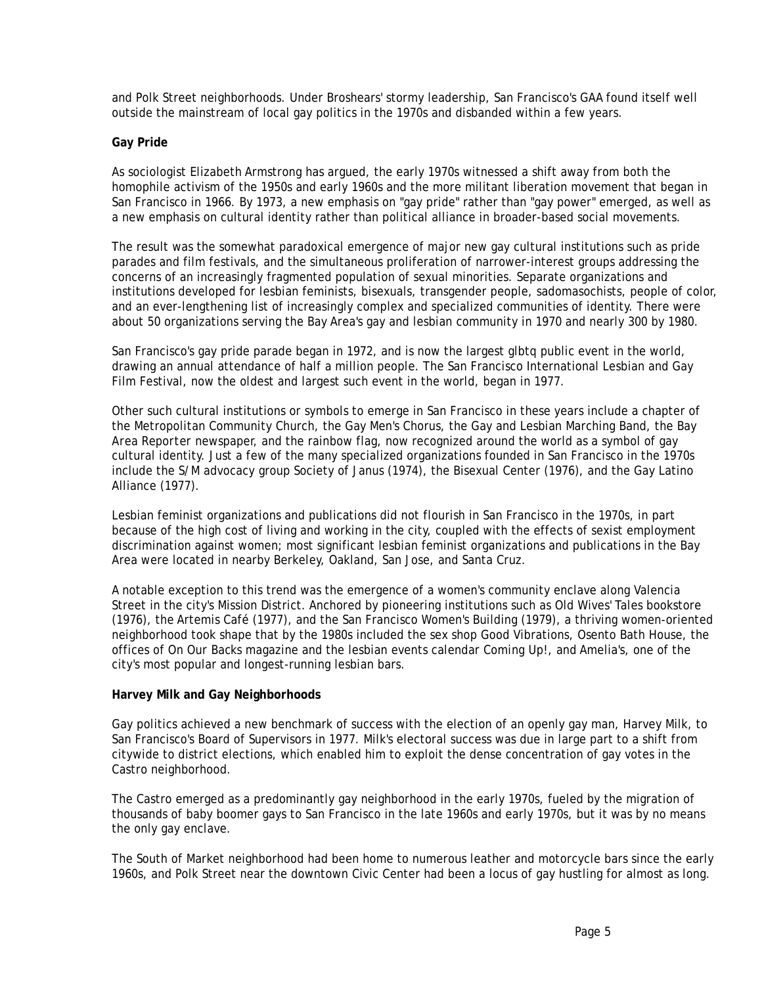and Polk Street neighborhoods. Under Broshears' stormy leadership, San Francisco's GAA found itself well outside the mainstream of local gay politics in the 1970s and disbanded within a few years.

### **Gay Pride**

As sociologist Elizabeth Armstrong has argued, the early 1970s witnessed a shift away from both the homophile activism of the 1950s and early 1960s and the more militant liberation movement that began in San Francisco in 1966. By 1973, a new emphasis on "gay pride" rather than "gay power" emerged, as well as a new emphasis on cultural identity rather than political alliance in broader-based social movements.

The result was the somewhat paradoxical emergence of major new gay cultural institutions such as pride parades and film festivals, and the simultaneous proliferation of narrower-interest groups addressing the concerns of an increasingly fragmented population of sexual minorities. Separate organizations and institutions developed for lesbian feminists, bisexuals, transgender people, sadomasochists, people of color, and an ever-lengthening list of increasingly complex and specialized communities of identity. There were about 50 organizations serving the Bay Area's gay and lesbian community in 1970 and nearly 300 by 1980.

San Francisco's gay pride parade began in 1972, and is now the largest glbtq public event in the world, drawing an annual attendance of half a million people. The San Francisco International Lesbian and Gay Film Festival, now the oldest and largest such event in the world, began in 1977.

Other such cultural institutions or symbols to emerge in San Francisco in these years include a chapter of the Metropolitan Community Church, the Gay Men's Chorus, the Gay and Lesbian Marching Band, the *Bay Area Reporter* newspaper, and the rainbow flag, now recognized around the world as a symbol of gay cultural identity. Just a few of the many specialized organizations founded in San Francisco in the 1970s include the S/M advocacy group Society of Janus (1974), the Bisexual Center (1976), and the Gay Latino Alliance (1977).

Lesbian feminist organizations and publications did not flourish in San Francisco in the 1970s, in part because of the high cost of living and working in the city, coupled with the effects of sexist employment discrimination against women; most significant lesbian feminist organizations and publications in the Bay Area were located in nearby Berkeley, Oakland, San Jose, and Santa Cruz.

A notable exception to this trend was the emergence of a women's community enclave along Valencia Street in the city's Mission District. Anchored by pioneering institutions such as Old Wives' Tales bookstore (1976), the Artemis Café (1977), and the San Francisco Women's Building (1979), a thriving women-oriented neighborhood took shape that by the 1980s included the sex shop Good Vibrations, Osento Bath House, the offices of *On Our Backs* magazine and the lesbian events calendar *Coming Up!*, and Amelia's, one of the city's most popular and longest-running lesbian bars.

# **Harvey Milk and Gay Neighborhoods**

Gay politics achieved a new benchmark of success with the election of an openly gay man, Harvey Milk, to San Francisco's Board of Supervisors in 1977. Milk's electoral success was due in large part to a shift from citywide to district elections, which enabled him to exploit the dense concentration of gay votes in the Castro neighborhood.

The Castro emerged as a predominantly gay neighborhood in the early 1970s, fueled by the migration of thousands of baby boomer gays to San Francisco in the late 1960s and early 1970s, but it was by no means the only gay enclave.

The South of Market neighborhood had been home to numerous leather and motorcycle bars since the early 1960s, and Polk Street near the downtown Civic Center had been a locus of gay hustling for almost as long.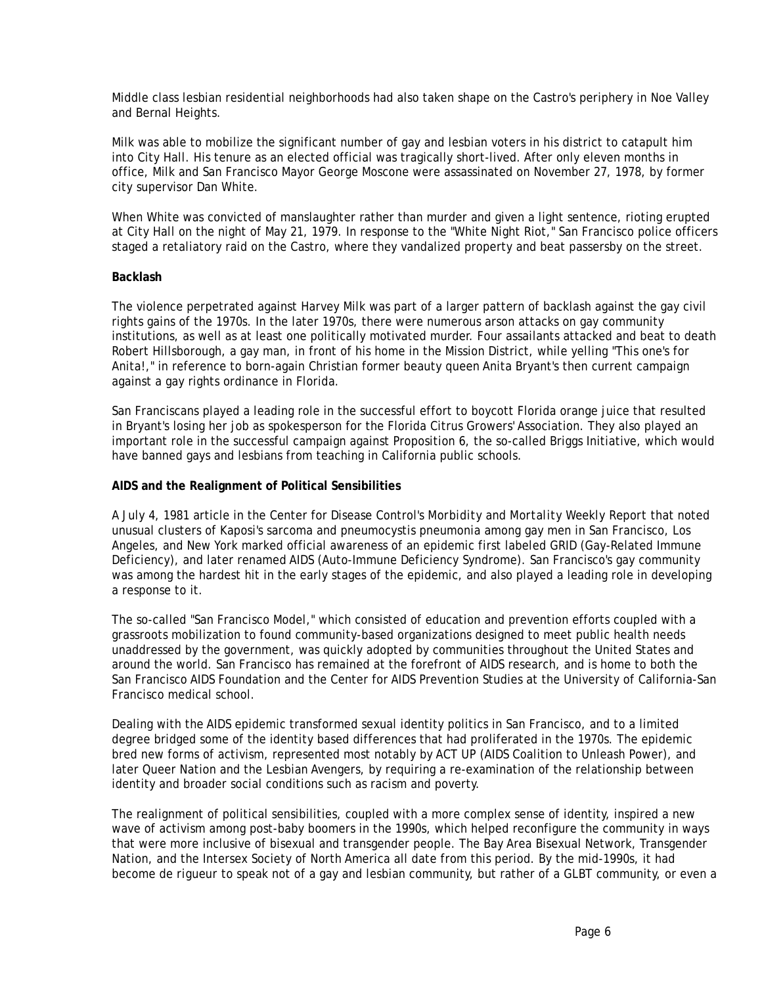Middle class lesbian residential neighborhoods had also taken shape on the Castro's periphery in Noe Valley and Bernal Heights.

Milk was able to mobilize the significant number of gay and lesbian voters in his district to catapult him into City Hall. His tenure as an elected official was tragically short-lived. After only eleven months in office, Milk and San Francisco Mayor George Moscone were assassinated on November 27, 1978, by former city supervisor Dan White.

When White was convicted of manslaughter rather than murder and given a light sentence, rioting erupted at City Hall on the night of May 21, 1979. In response to the "White Night Riot," San Francisco police officers staged a retaliatory raid on the Castro, where they vandalized property and beat passersby on the street.

### **Backlash**

The violence perpetrated against Harvey Milk was part of a larger pattern of backlash against the gay civil rights gains of the 1970s. In the later 1970s, there were numerous arson attacks on gay community institutions, as well as at least one politically motivated murder. Four assailants attacked and beat to death Robert Hillsborough, a gay man, in front of his home in the Mission District, while yelling "This one's for Anita!," in reference to born-again Christian former beauty queen Anita Bryant's then current campaign against a gay rights ordinance in Florida.

San Franciscans played a leading role in the successful effort to boycott Florida orange juice that resulted in Bryant's losing her job as spokesperson for the Florida Citrus Growers' Association. They also played an important role in the successful campaign against Proposition 6, the so-called Briggs Initiative, which would have banned gays and lesbians from teaching in California public schools.

### **AIDS and the Realignment of Political Sensibilities**

A July 4, 1981 article in the Center for Disease Control's *Morbidity and Mortality Weekly Report* that noted unusual clusters of Kaposi's sarcoma and pneumocystis pneumonia among gay men in San Francisco, Los Angeles, and New York marked official awareness of an epidemic first labeled GRID (Gay-Related Immune Deficiency), and later renamed AIDS (Auto-Immune Deficiency Syndrome). San Francisco's gay community was among the hardest hit in the early stages of the epidemic, and also played a leading role in developing a response to it.

The so-called "San Francisco Model," which consisted of education and prevention efforts coupled with a grassroots mobilization to found community-based organizations designed to meet public health needs unaddressed by the government, was quickly adopted by communities throughout the United States and around the world. San Francisco has remained at the forefront of AIDS research, and is home to both the San Francisco AIDS Foundation and the Center for AIDS Prevention Studies at the University of California-San Francisco medical school.

Dealing with the AIDS epidemic transformed sexual identity politics in San Francisco, and to a limited degree bridged some of the identity based differences that had proliferated in the 1970s. The epidemic bred new forms of activism, represented most notably by ACT UP (AIDS Coalition to Unleash Power), and later Queer Nation and the Lesbian Avengers, by requiring a re-examination of the relationship between identity and broader social conditions such as racism and poverty.

The realignment of political sensibilities, coupled with a more complex sense of identity, inspired a new wave of activism among post-baby boomers in the 1990s, which helped reconfigure the community in ways that were more inclusive of bisexual and transgender people. The Bay Area Bisexual Network, Transgender Nation, and the Intersex Society of North America all date from this period. By the mid-1990s, it had become *de rigueur* to speak not of a gay and lesbian community, but rather of a GLBT community, or even a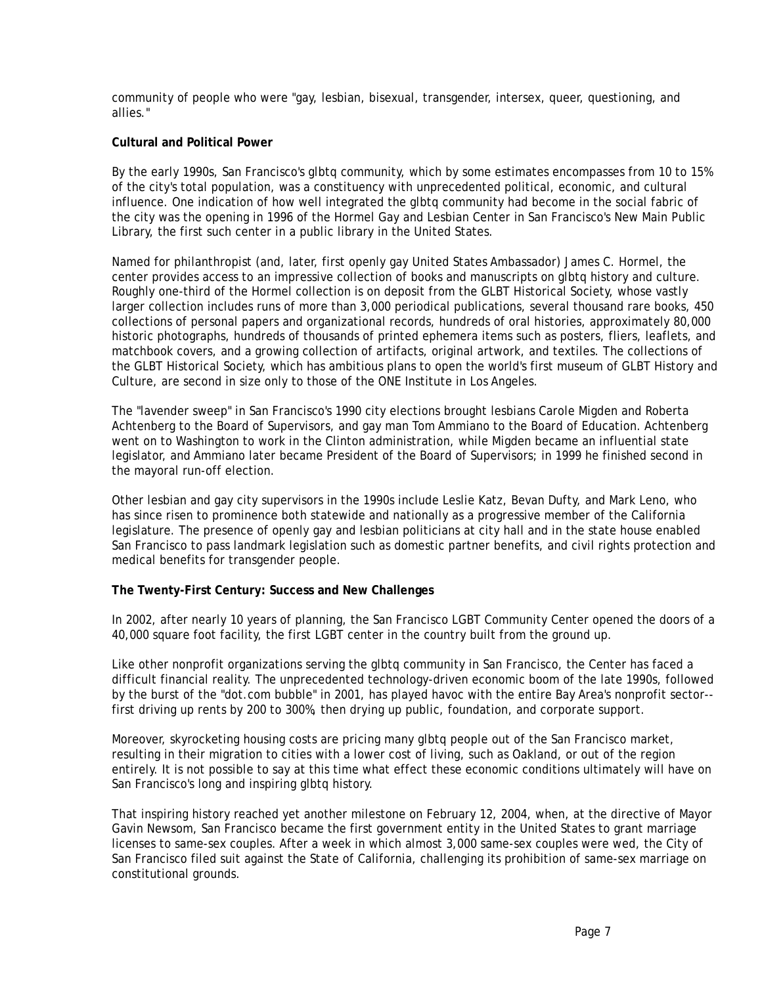community of people who were "gay, lesbian, bisexual, transgender, intersex, queer, questioning, and allies."

### **Cultural and Political Power**

By the early 1990s, San Francisco's glbtq community, which by some estimates encompasses from 10 to 15% of the city's total population, was a constituency with unprecedented political, economic, and cultural influence. One indication of how well integrated the glbtq community had become in the social fabric of the city was the opening in 1996 of the Hormel Gay and Lesbian Center in San Francisco's New Main Public Library, the first such center in a public library in the United States.

Named for philanthropist (and, later, first openly gay United States Ambassador) James C. Hormel, the center provides access to an impressive collection of books and manuscripts on glbtq history and culture. Roughly one-third of the Hormel collection is on deposit from the GLBT Historical Society, whose vastly larger collection includes runs of more than 3,000 periodical publications, several thousand rare books, 450 collections of personal papers and organizational records, hundreds of oral histories, approximately 80,000 historic photographs, hundreds of thousands of printed ephemera items such as posters, fliers, leaflets, and matchbook covers, and a growing collection of artifacts, original artwork, and textiles. The collections of the GLBT Historical Society, which has ambitious plans to open the world's first museum of GLBT History and Culture, are second in size only to those of the ONE Institute in Los Angeles.

The "lavender sweep" in San Francisco's 1990 city elections brought lesbians Carole Migden and Roberta Achtenberg to the Board of Supervisors, and gay man Tom Ammiano to the Board of Education. Achtenberg went on to Washington to work in the Clinton administration, while Migden became an influential state legislator, and Ammiano later became President of the Board of Supervisors; in 1999 he finished second in the mayoral run-off election.

Other lesbian and gay city supervisors in the 1990s include Leslie Katz, Bevan Dufty, and Mark Leno, who has since risen to prominence both statewide and nationally as a progressive member of the California legislature. The presence of openly gay and lesbian politicians at city hall and in the state house enabled San Francisco to pass landmark legislation such as domestic partner benefits, and civil rights protection and medical benefits for transgender people.

#### **The Twenty-First Century: Success and New Challenges**

In 2002, after nearly 10 years of planning, the San Francisco LGBT Community Center opened the doors of a 40,000 square foot facility, the first LGBT center in the country built from the ground up.

Like other nonprofit organizations serving the glbtq community in San Francisco, the Center has faced a difficult financial reality. The unprecedented technology-driven economic boom of the late 1990s, followed by the burst of the "dot.com bubble" in 2001, has played havoc with the entire Bay Area's nonprofit sector- first driving up rents by 200 to 300%, then drying up public, foundation, and corporate support.

Moreover, skyrocketing housing costs are pricing many glbtq people out of the San Francisco market, resulting in their migration to cities with a lower cost of living, such as Oakland, or out of the region entirely. It is not possible to say at this time what effect these economic conditions ultimately will have on San Francisco's long and inspiring glbtq history.

That inspiring history reached yet another milestone on February 12, 2004, when, at the directive of Mayor Gavin Newsom, San Francisco became the first government entity in the United States to grant marriage licenses to same-sex couples. After a week in which almost 3,000 same-sex couples were wed, the City of San Francisco filed suit against the State of California, challenging its prohibition of same-sex marriage on constitutional grounds.